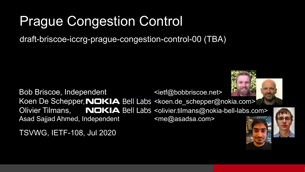#### Prague Congestion Control

draft-briscoe-iccrg-prague-congestion-control-00 (TBA)

Bob Briscoe, Independent example the state of  $\leq$  states  $\leq$  and  $\leq$  states  $\leq$ Koen De Schepper, NOKIA Bell Labs <koen.de schepper@nokia.com> Olivier Tilmans, NOKIA Bell Labs <olivier.tilmans@nokia-bell-labs.com> Asad Sajjad Ahmed, Independent <me@asadsa.com>

TSVWG, IETF-108, Jul 2020



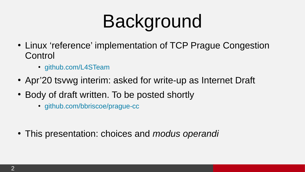## Background

- Linux 'reference' implementation of TCP Prague Congestion Control
	- [github.com/L4STeam](https://github.com/L4STeam)
- Apr'20 tsvwg interim: asked for write-up as Internet Draft
- Body of draft written. To be posted shortly
	- [github.com/bbriscoe/prague-cc](https://github.com/bbriscoe/prague-cc)

• This presentation: choices and *modus operandi*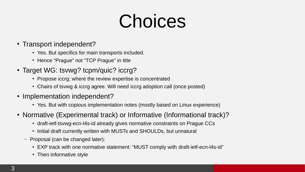### Choices

- Transport independent?
	- Yes. But specifics for main transports included.
	- Hence "Prague" not "TCP Prague" in title
- Target WG: tsvwg? tcpm/quic? iccrg?
	- Propose iccrg; where the review expertise is concentrated
	- Chairs of tsywg & iccrg agree. Will need iccrg adoption call (once posted)
- Implementation independent?
	- Yes. But with copious implementation notes (mostly based on Linux experience)
- Normative (Experimental track) or Informative (Informational track)?
	- draft-ietf-tsywg-ecn-l4s-id already gives normative constraints on Prague CCs
	- Initial draft currently written with MUSTs and SHOULDs, but unnatural
	- Proposal (can be changed later):
		- EXP track with one normative statement: "MUST comply with draft-ietf-ecn-l4s-id"
		- Then informative style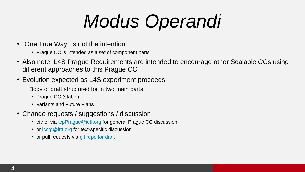# *Modus Operandi*

- "One True Way" is not the intention
	- Prague CC is intended as a set of component parts
- Also note: L4S Prague Requirements are intended to encourage other Scalable CCs using different approaches to this Prague CC
- Evolution expected as L4S experiment proceeds
	- Body of draft structured for in two main parts
		- Prague CC (stable)
		- Variants and Future Plans
- Change requests / suggestions / discussion
	- $\cdot$  either via [tcpPrague@ietf.org](mailto:tcpPrague@ietf.org) for general Prague CC discussion
	- $\cdot$  or [iccrg@irtf.org](mailto:iccrg@irtf.org) for text-specific discussion
	- or pull requests via [git repo for draft](https://github.com/bbriscoe/prague-cc)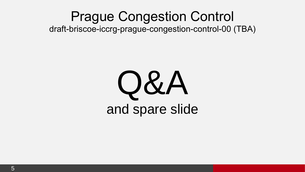#### Prague Congestion Control draft-briscoe-iccrg-prague-congestion-control-00 (TBA)